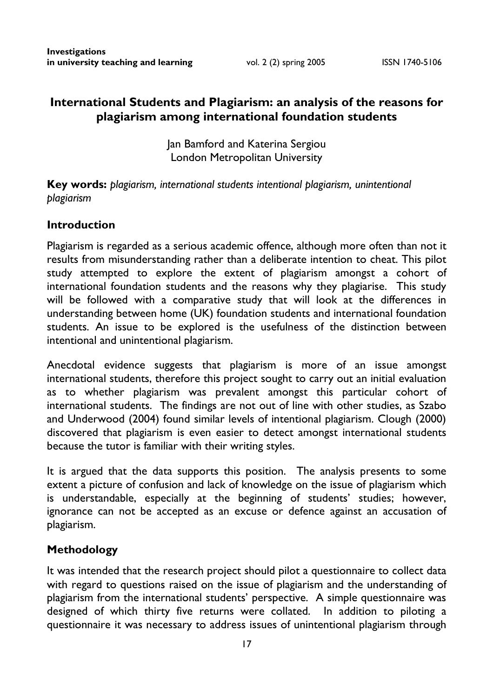# **International Students and Plagiarism: an analysis of the reasons for plagiarism among international foundation students**

Jan Bamford and Katerina Sergiou London Metropolitan University

**Key words:** *plagiarism, international students intentional plagiarism, unintentional plagiarism* 

#### **Introduction**

Plagiarism is regarded as a serious academic offence, although more often than not it results from misunderstanding rather than a deliberate intention to cheat. This pilot study attempted to explore the extent of plagiarism amongst a cohort of international foundation students and the reasons why they plagiarise. This study will be followed with a comparative study that will look at the differences in understanding between home (UK) foundation students and international foundation students. An issue to be explored is the usefulness of the distinction between intentional and unintentional plagiarism.

Anecdotal evidence suggests that plagiarism is more of an issue amongst international students, therefore this project sought to carry out an initial evaluation as to whether plagiarism was prevalent amongst this particular cohort of international students. The findings are not out of line with other studies, as Szabo and Underwood (2004) found similar levels of intentional plagiarism. Clough (2000) discovered that plagiarism is even easier to detect amongst international students because the tutor is familiar with their writing styles.

It is argued that the data supports this position. The analysis presents to some extent a picture of confusion and lack of knowledge on the issue of plagiarism which is understandable, especially at the beginning of students' studies; however, ignorance can not be accepted as an excuse or defence against an accusation of plagiarism.

#### **Methodology**

It was intended that the research project should pilot a questionnaire to collect data with regard to questions raised on the issue of plagiarism and the understanding of plagiarism from the international students' perspective. A simple questionnaire was designed of which thirty five returns were collated. In addition to piloting a questionnaire it was necessary to address issues of unintentional plagiarism through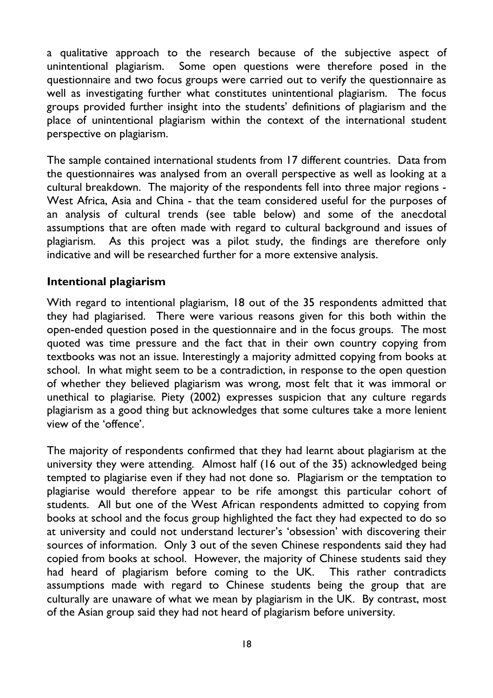a qualitative approach to the research because of the subjective aspect of unintentional plagiarism. Some open questions were therefore posed in the questionnaire and two focus groups were carried out to verify the questionnaire as well as investigating further what constitutes unintentional plagiarism. The focus groups provided further insight into the students' definitions of plagiarism and the place of unintentional plagiarism within the context of the international student perspective on plagiarism.

The sample contained international students from 17 different countries. Data from the questionnaires was analysed from an overall perspective as well as looking at a cultural breakdown. The majority of the respondents fell into three major regions - West Africa, Asia and China - that the team considered useful for the purposes of an analysis of cultural trends (see table below) and some of the anecdotal assumptions that are often made with regard to cultural background and issues of plagiarism. As this project was a pilot study, the findings are therefore only indicative and will be researched further for a more extensive analysis.

#### **Intentional plagiarism**

With regard to intentional plagiarism, 18 out of the 35 respondents admitted that they had plagiarised. There were various reasons given for this both within the open-ended question posed in the questionnaire and in the focus groups. The most quoted was time pressure and the fact that in their own country copying from textbooks was not an issue. Interestingly a majority admitted copying from books at school. In what might seem to be a contradiction, in response to the open question of whether they believed plagiarism was wrong, most felt that it was immoral or unethical to plagiarise. Piety (2002) expresses suspicion that any culture regards plagiarism as a good thing but acknowledges that some cultures take a more lenient view of the 'offence'.

The majority of respondents confirmed that they had learnt about plagiarism at the university they were attending. Almost half (16 out of the 35) acknowledged being tempted to plagiarise even if they had not done so. Plagiarism or the temptation to plagiarise would therefore appear to be rife amongst this particular cohort of students. All but one of the West African respondents admitted to copying from books at school and the focus group highlighted the fact they had expected to do so at university and could not understand lecturer's 'obsession' with discovering their sources of information. Only 3 out of the seven Chinese respondents said they had copied from books at school. However, the majority of Chinese students said they had heard of plagiarism before coming to the UK. This rather contradicts assumptions made with regard to Chinese students being the group that are culturally are unaware of what we mean by plagiarism in the UK. By contrast, most of the Asian group said they had not heard of plagiarism before university.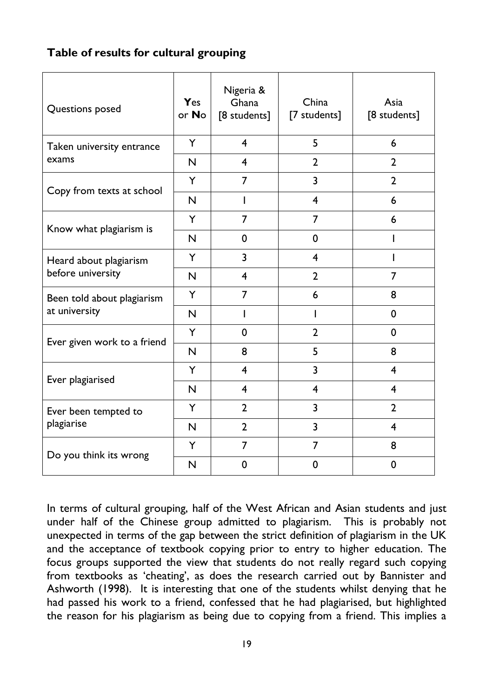# **Table of results for cultural grouping**

| Questions posed                             | Yes<br>or No            | Nigeria &<br>Ghana<br>[8 students] | China<br>[7 students]   | Asia<br>[8 students]    |
|---------------------------------------------|-------------------------|------------------------------------|-------------------------|-------------------------|
| Taken university entrance<br>exams          | Y                       | $\overline{\mathbf{4}}$            | 5                       | 6                       |
|                                             | $\mathsf{N}$            | $\overline{4}$                     | $\overline{2}$          | $\overline{2}$          |
| Copy from texts at school                   | Y                       | $\overline{7}$                     | $\overline{\mathbf{3}}$ | $\overline{2}$          |
|                                             | N                       | $\mathbf{I}$                       | $\overline{4}$          | 6                       |
| Know what plagiarism is                     | Y                       | $\overline{7}$                     | 7                       | 6                       |
|                                             | N                       | $\mathbf 0$                        | 0                       |                         |
| Heard about plagiarism<br>before university | Y                       | 3                                  | 4                       |                         |
|                                             | N                       | $\overline{4}$                     | $\overline{2}$          | $\overline{7}$          |
| Been told about plagiarism<br>at university | Y                       | 7                                  | 6                       | 8                       |
|                                             | $\overline{\mathsf{N}}$ | T                                  | L                       | $\mathbf 0$             |
| Ever given work to a friend                 | Y                       | $\mathbf 0$                        | $\overline{2}$          | $\mathbf 0$             |
|                                             | $\mathsf{N}$            | 8                                  | 5                       | 8                       |
| Ever plagiarised                            | Y                       | $\overline{4}$                     | 3                       | $\overline{4}$          |
|                                             | N                       | $\overline{\mathbf{4}}$            | 4                       | $\overline{\mathbf{4}}$ |
| Ever been tempted to<br>plagiarise          | Y                       | $\overline{2}$                     | 3                       | $\overline{2}$          |
|                                             | N                       | $\overline{2}$                     | 3                       | $\overline{4}$          |
| Do you think its wrong                      | Y                       | $\overline{7}$                     | 7                       | 8                       |
|                                             | N                       | $\mathbf 0$                        | $\mathbf 0$             | $\mathbf 0$             |

In terms of cultural grouping, half of the West African and Asian students and just under half of the Chinese group admitted to plagiarism. This is probably not unexpected in terms of the gap between the strict definition of plagiarism in the UK and the acceptance of textbook copying prior to entry to higher education. The focus groups supported the view that students do not really regard such copying from textbooks as 'cheating', as does the research carried out by Bannister and Ashworth (1998). It is interesting that one of the students whilst denying that he had passed his work to a friend, confessed that he had plagiarised, but highlighted the reason for his plagiarism as being due to copying from a friend. This implies a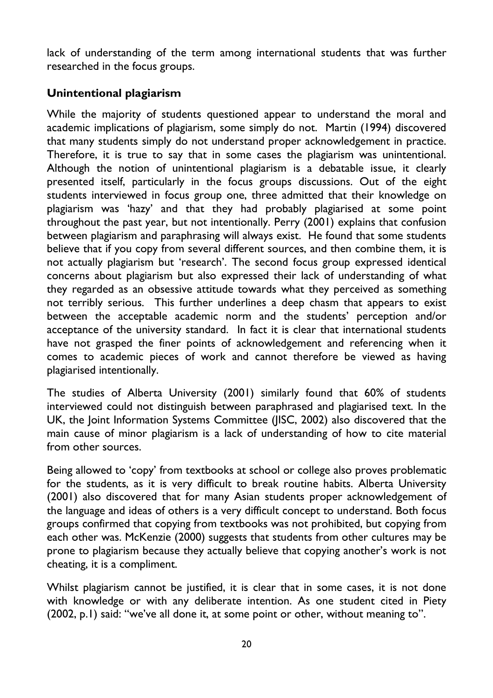lack of understanding of the term among international students that was further researched in the focus groups.

## **Unintentional plagiarism**

While the majority of students questioned appear to understand the moral and academic implications of plagiarism, some simply do not. Martin (1994) discovered that many students simply do not understand proper acknowledgement in practice. Therefore, it is true to say that in some cases the plagiarism was unintentional. Although the notion of unintentional plagiarism is a debatable issue, it clearly presented itself, particularly in the focus groups discussions. Out of the eight students interviewed in focus group one, three admitted that their knowledge on plagiarism was 'hazy' and that they had probably plagiarised at some point throughout the past year, but not intentionally. Perry (2001) explains that confusion between plagiarism and paraphrasing will always exist. He found that some students believe that if you copy from several different sources, and then combine them, it is not actually plagiarism but 'research'. The second focus group expressed identical concerns about plagiarism but also expressed their lack of understanding of what they regarded as an obsessive attitude towards what they perceived as something not terribly serious. This further underlines a deep chasm that appears to exist between the acceptable academic norm and the students' perception and/or acceptance of the university standard. In fact it is clear that international students have not grasped the finer points of acknowledgement and referencing when it comes to academic pieces of work and cannot therefore be viewed as having plagiarised intentionally.

The studies of Alberta University (2001) similarly found that 60% of students interviewed could not distinguish between paraphrased and plagiarised text. In the UK, the Joint Information Systems Committee (JISC, 2002) also discovered that the main cause of minor plagiarism is a lack of understanding of how to cite material from other sources.

Being allowed to 'copy' from textbooks at school or college also proves problematic for the students, as it is very difficult to break routine habits. Alberta University (2001) also discovered that for many Asian students proper acknowledgement of the language and ideas of others is a very difficult concept to understand. Both focus groups confirmed that copying from textbooks was not prohibited, but copying from each other was. McKenzie (2000) suggests that students from other cultures may be prone to plagiarism because they actually believe that copying another's work is not cheating, it is a compliment.

Whilst plagiarism cannot be justified, it is clear that in some cases, it is not done with knowledge or with any deliberate intention. As one student cited in Piety (2002, p.1) said: "we've all done it, at some point or other, without meaning to".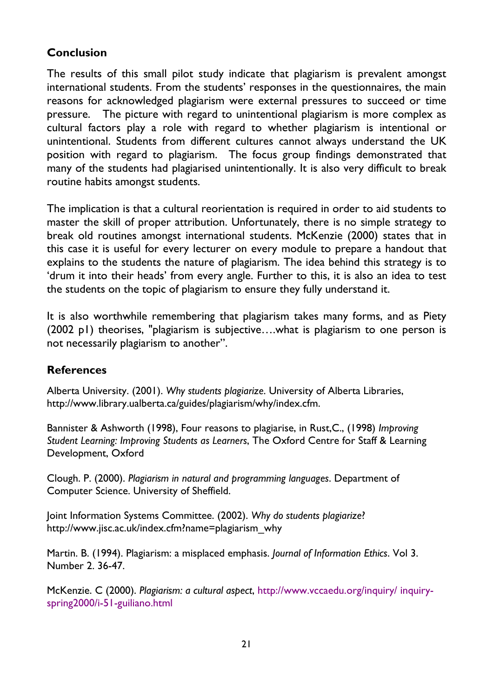## **Conclusion**

The results of this small pilot study indicate that plagiarism is prevalent amongst international students. From the students' responses in the questionnaires, the main reasons for acknowledged plagiarism were external pressures to succeed or time pressure. The picture with regard to unintentional plagiarism is more complex as cultural factors play a role with regard to whether plagiarism is intentional or unintentional. Students from different cultures cannot always understand the UK position with regard to plagiarism. The focus group findings demonstrated that many of the students had plagiarised unintentionally. It is also very difficult to break routine habits amongst students.

The implication is that a cultural reorientation is required in order to aid students to master the skill of proper attribution. Unfortunately, there is no simple strategy to break old routines amongst international students. McKenzie (2000) states that in this case it is useful for every lecturer on every module to prepare a handout that explains to the students the nature of plagiarism. The idea behind this strategy is to 'drum it into their heads' from every angle. Further to this, it is also an idea to test the students on the topic of plagiarism to ensure they fully understand it.

It is also worthwhile remembering that plagiarism takes many forms, and as Piety (2002 p1) theorises, "plagiarism is subjective….what is plagiarism to one person is not necessarily plagiarism to another".

### **References**

Alberta University. (2001). *Why students plagiarize*. University of Alberta Libraries, http://www.library.ualberta.ca/guides/plagiarism/why/index.cfm.

Bannister & Ashworth (1998), Four reasons to plagiarise, in Rust,C., (1998) *Improving Student Learning: Improving Students as Learners*, The Oxford Centre for Staff & Learning Development, Oxford

Clough. P. (2000). *Plagiarism in natural and programming languages*. Department of Computer Science. University of Sheffield.

Joint Information Systems Committee. (2002). *Why do students plagiarize*? http://www.jisc.ac.uk/index.cfm?name=plagiarism\_why

Martin. B. (1994). Plagiarism: a misplaced emphasis. *Journal of Information Ethics*. Vol 3. Number 2. 36-47.

McKenzie. C (2000). *Plagiarism: a cultural aspect*, [http://www.vccaedu.org/inquiry/ inquiry](http://www.vccaedu.org/inquiry/ inquiry-spring2000/i-51-guiliano.html)[spring2000/i-51-guiliano.html](http://www.vccaedu.org/inquiry/ inquiry-spring2000/i-51-guiliano.html)